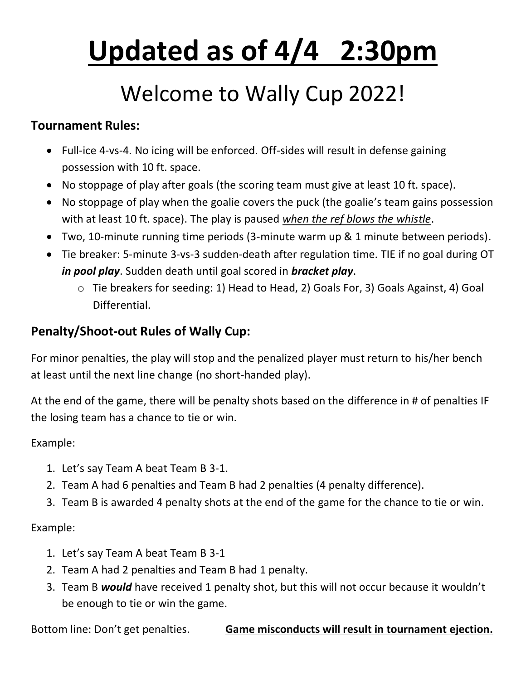# **Updated as of 4/4 2:30pm**

#### Welcome to Wally Cup 2022!

#### **Tournament Rules:**

- Full-ice 4-vs-4. No icing will be enforced. Off-sides will result in defense gaining possession with 10 ft. space.
- No stoppage of play after goals (the scoring team must give at least 10 ft. space).
- No stoppage of play when the goalie covers the puck (the goalie's team gains possession with at least 10 ft. space). The play is paused *when the ref blows the whistle*.
- Two, 10-minute running time periods (3-minute warm up & 1 minute between periods).
- Tie breaker: 5-minute 3-vs-3 sudden-death after regulation time. TIE if no goal during OT *in pool play*. Sudden death until goal scored in *bracket play*.
	- o Tie breakers for seeding: 1) Head to Head, 2) Goals For, 3) Goals Against, 4) Goal Differential.

#### **Penalty/Shoot-out Rules of Wally Cup:**

For minor penalties, the play will stop and the penalized player must return to his/her bench at least until the next line change (no short-handed play).

At the end of the game, there will be penalty shots based on the difference in # of penalties IF the losing team has a chance to tie or win.

#### Example:

- 1. Let's say Team A beat Team B 3-1.
- 2. Team A had 6 penalties and Team B had 2 penalties (4 penalty difference).
- 3. Team B is awarded 4 penalty shots at the end of the game for the chance to tie or win.

#### Example:

- 1. Let's say Team A beat Team B 3-1
- 2. Team A had 2 penalties and Team B had 1 penalty.
- 3. Team B *would* have received 1 penalty shot, but this will not occur because it wouldn't be enough to tie or win the game.

Bottom line: Don't get penalties. **Game misconducts will result in tournament ejection.**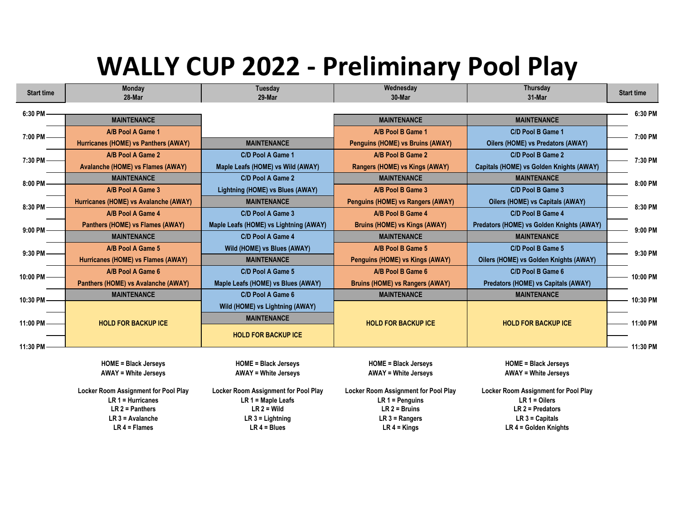### **WALLY CUP 2022 - Preliminary Pool Play**

| <b>Start time</b> | <b>Monday</b>                         | <b>Tuesday</b>                         | Wednesday                                   | Thursday                                  | <b>Start time</b> |  |
|-------------------|---------------------------------------|----------------------------------------|---------------------------------------------|-------------------------------------------|-------------------|--|
|                   | 28-Mar                                | 29-Mar                                 | 30-Mar                                      | 31-Mar                                    |                   |  |
| 6:30 PM           |                                       |                                        |                                             |                                           | 6:30 PM           |  |
|                   | <b>MAINTENANCE</b>                    |                                        | <b>MAINTENANCE</b>                          | <b>MAINTENANCE</b>                        |                   |  |
| 7:00 PM-          | A/B Pool A Game 1                     |                                        | A/B Pool B Game 1                           | C/D Pool B Game 1                         | 7:00 PM           |  |
|                   | Hurricanes (HOME) vs Panthers (AWAY)  | <b>MAINTENANCE</b>                     | Penguins (HOME) vs Bruins (AWAY)            | Oilers (HOME) vs Predators (AWAY)         |                   |  |
| 7:30 PM           | A/B Pool A Game 2                     | C/D Pool A Game 1                      | A/B Pool B Game 2                           | C/D Pool B Game 2                         | 7:30 PM           |  |
|                   | Avalanche (HOME) vs Flames (AWAY)     | Maple Leafs (HOME) vs Wild (AWAY)      | Rangers (HOME) vs Kings (AWAY)              | Capitals (HOME) vs Golden Knights (AWAY)  |                   |  |
| 8:00 PM           | <b>MAINTENANCE</b>                    | C/D Pool A Game 2                      | <b>MAINTENANCE</b>                          | <b>MAINTENANCE</b>                        | 8:00 PM           |  |
|                   | A/B Pool A Game 3                     | Lightning (HOME) vs Blues (AWAY)       | A/B Pool B Game 3                           | C/D Pool B Game 3                         |                   |  |
| 8:30 PM           | Hurricanes (HOME) vs Avalanche (AWAY) | <b>MAINTENANCE</b>                     | Penguins (HOME) vs Rangers (AWAY)           | Oilers (HOME) vs Capitals (AWAY)          | 8:30 PM           |  |
|                   | A/B Pool A Game 4                     | C/D Pool A Game 3                      | A/B Pool B Game 4                           | C/D Pool B Game 4                         |                   |  |
| 9:00 PM           | Panthers (HOME) vs Flames (AWAY)      | Maple Leafs (HOME) vs Lightning (AWAY) | <b>Bruins (HOME) vs Kings (AWAY)</b>        | Predators (HOME) vs Golden Knights (AWAY) | 9:00 PM           |  |
|                   | <b>MAINTENANCE</b>                    | C/D Pool A Game 4                      | <b>MAINTENANCE</b>                          | <b>MAINTENANCE</b>                        |                   |  |
| 9:30 PM           | A/B Pool A Game 5                     | Wild (HOME) vs Blues (AWAY)            | A/B Pool B Game 5                           | C/D Pool B Game 5                         | 9:30 PM           |  |
|                   | Hurricanes (HOME) vs Flames (AWAY)    | <b>MAINTENANCE</b>                     | Penguins (HOME) vs Kings (AWAY)             | Oilers (HOME) vs Golden Knights (AWAY)    |                   |  |
| 10:00 PM-         | A/B Pool A Game 6                     | C/D Pool A Game 5                      | A/B Pool B Game 6                           | C/D Pool B Game 6                         | 10:00 PM          |  |
|                   | Panthers (HOME) vs Avalanche (AWAY)   | Maple Leafs (HOME) vs Blues (AWAY)     | <b>Bruins (HOME) vs Rangers (AWAY)</b>      | Predators (HOME) vs Capitals (AWAY)       |                   |  |
| 10:30 PM          | <b>MAINTENANCE</b>                    | C/D Pool A Game 6                      | <b>MAINTENANCE</b>                          | <b>MAINTENANCE</b>                        | 10:30 PM          |  |
|                   |                                       | Wild (HOME) vs Lightning (AWAY)        |                                             |                                           |                   |  |
| 11:00 PM          | <b>HOLD FOR BACKUP ICE</b>            | <b>MAINTENANCE</b>                     | <b>HOLD FOR BACKUP ICE</b>                  | <b>HOLD FOR BACKUP ICE</b>                | 11:00 PM          |  |
|                   |                                       | <b>HOLD FOR BACKUP ICE</b>             |                                             |                                           |                   |  |
| 11:30 PM          |                                       |                                        |                                             |                                           | 11:30 PM          |  |
|                   |                                       |                                        |                                             |                                           |                   |  |
|                   | <b>HOME = Black Jerseys</b>           | <b>HOME = Black Jerseys</b>            | <b>HOME = Black Jerseys</b>                 | <b>HOME = Black Jerseys</b>               |                   |  |
|                   | <b>AWAY = White Jerseys</b>           | <b>AWAY = White Jerseys</b>            | <b>AWAY = White Jerseys</b>                 | <b>AWAY = White Jerseys</b>               |                   |  |
|                   | Locker Room Assignment for Pool Play  | Locker Room Assignment for Pool Play   | <b>Locker Room Assignment for Pool Play</b> | Locker Room Assignment for Pool Play      |                   |  |
|                   | LR $1$ = Hurricanes                   | $LR 1 = Maple$ Leafs                   | $LR 1 =$ Penguins                           | $LR 1 = Oilers$                           |                   |  |
|                   | $LR$ 2 = Panthers                     | $LR$ 2 = Wild                          | $LR$ 2 = Bruins                             | $LR$ 2 = Predators                        |                   |  |
|                   | $LR$ 3 = Avalanche                    | $LR$ 3 = Lightning                     | $LR 3 = Rangers$                            | $LR 3 =$ Capitals                         |                   |  |

**LR 4 = Flames LR 4 = Blues LR 4 = Kings LR 4 = Golden Knights**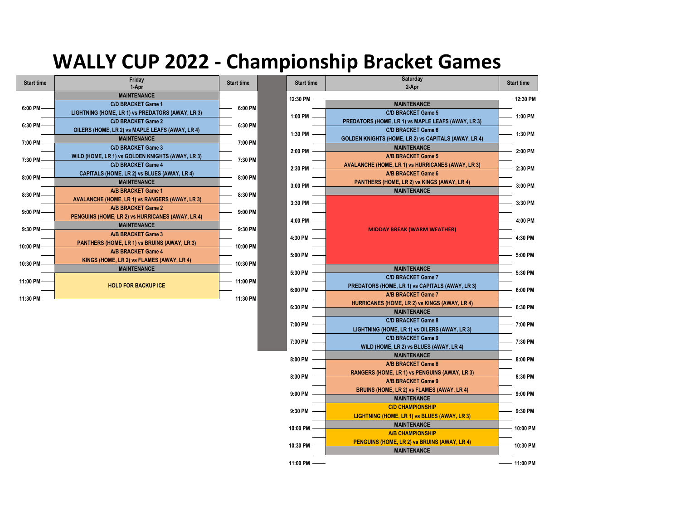#### **WALLY CUP 2022 - Championship Bracket Games**



| <b>Start time</b> | Fridav<br>1-Apr                                       | <b>Start time</b> |  |
|-------------------|-------------------------------------------------------|-------------------|--|
|                   | <b>MAINTENANCE</b>                                    |                   |  |
| $6:00$ PM -       | <b>C/D BRACKET Game 1</b>                             | 6:00 PM           |  |
|                   | LIGHTNING (HOME, LR 1) vs PREDATORS (AWAY, LR 3)      |                   |  |
| 6:30 PM-          | <b>C/D BRACKET Game 2</b>                             | 6:30 PM           |  |
|                   | OILERS (HOME, LR 2) vs MAPLE LEAFS (AWAY, LR 4)       |                   |  |
| 7:00 PM           | <b>MAINTENANCE</b>                                    | 7:00 PM           |  |
|                   | <b>C/D BRACKET Game 3</b>                             |                   |  |
| 7:30 PM           | WILD (HOME, LR 1) vs GOLDEN KNIGHTS (AWAY, LR 3)      | 7:30 PM           |  |
|                   | <b>C/D BRACKET Game 4</b>                             |                   |  |
| $8:00$ PM -       | CAPITALS (HOME, LR 2) vs BLUES (AWAY, LR 4)           | 8:00 PM           |  |
|                   | <b>MAINTENANCE</b>                                    |                   |  |
| $8:30$ PM -       | A/B BRACKET Game 1                                    | 8:30 PM           |  |
|                   | <b>AVALANCHE (HOME, LR 1) vs RANGERS (AWAY, LR 3)</b> |                   |  |
| $9:00$ PM -       | A/B BRACKET Game 2                                    | 9:00 PM           |  |
|                   | PENGUINS (HOME, LR 2) vs HURRICANES (AWAY, LR 4)      |                   |  |
| 9:30 PM-          | <b>MAINTENANCE</b>                                    | 9:30 PM           |  |
|                   | A/B BRACKET Game 3                                    |                   |  |
| 10:00 PM          | PANTHERS (HOME, LR 1) vs BRUINS (AWAY, LR 3)          | 10:00 PM          |  |
|                   | A/B BRACKET Game 4                                    |                   |  |
| 10:30 PM          | KINGS (HOME, LR 2) vs FLAMES (AWAY, LR 4)             | 10:30 PM          |  |
|                   | <b>MAINTENANCE</b>                                    |                   |  |
| 11:00 PM          |                                                       | 11:00 PM          |  |
|                   | <b>HOLD FOR BACKUP ICE</b>                            |                   |  |
| 11:30 PM          |                                                       | 11:30 PM          |  |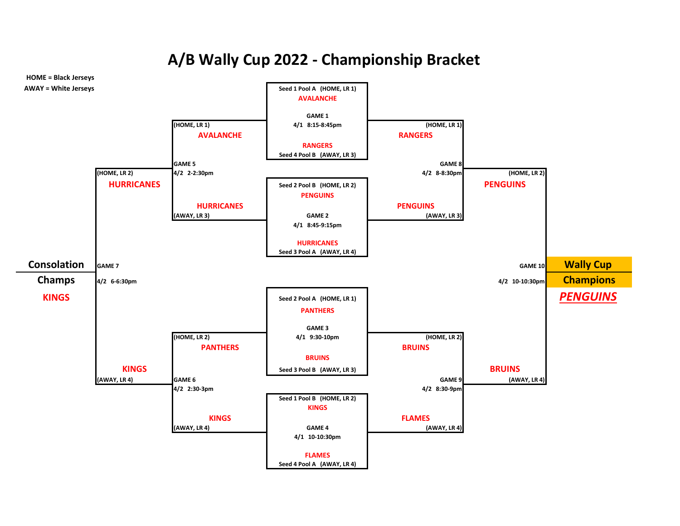**A/B Wally Cup 2022 - Championship Bracket**

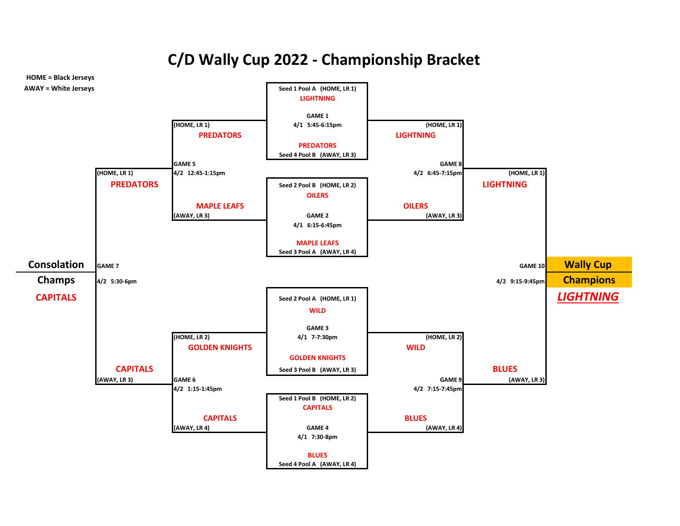**C/D Wally Cup 2022 - Championship Bracket**

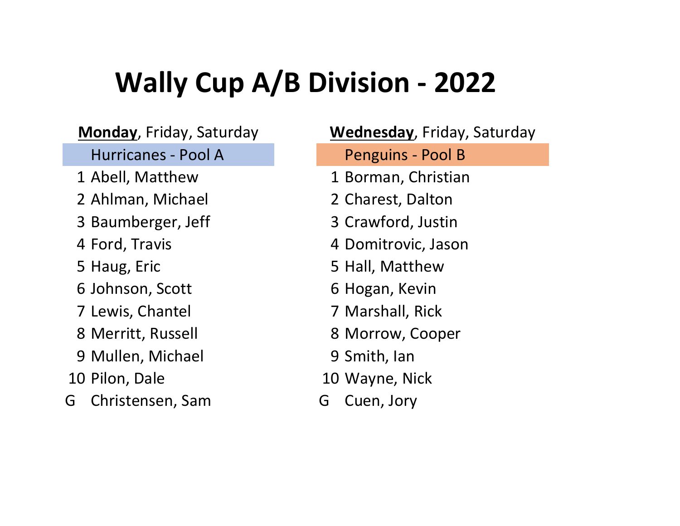- 
- 2 Ahlman, Michael 2 Charest, Dalton
- 3 Baumberger, Jeff 3 Crawford, Justin
- 
- 
- 
- 
- 
- 9 Mullen, Michael 9 Smith, Ian
- 
- G Christensen, Sam G Cuen, Jory

Hurricanes - Pool A Penguins - Pool B 1 Abell, Matthew 1 Borman, Christian 4 Ford, Travis 4 Domitrovic, Jason 5 Haug, Eric 6 19 12 12 13 14 15 Hall, Matthew 6 Johnson, Scott 6 Hogan, Kevin 7 Lewis, Chantel 7 Marshall, Rick 8 Merritt, Russell 8 Morrow, Cooper 10 Pilon, Dale 10 Wayne, Nick **Monday**, Friday, Saturday **Wednesday**, Friday, Saturday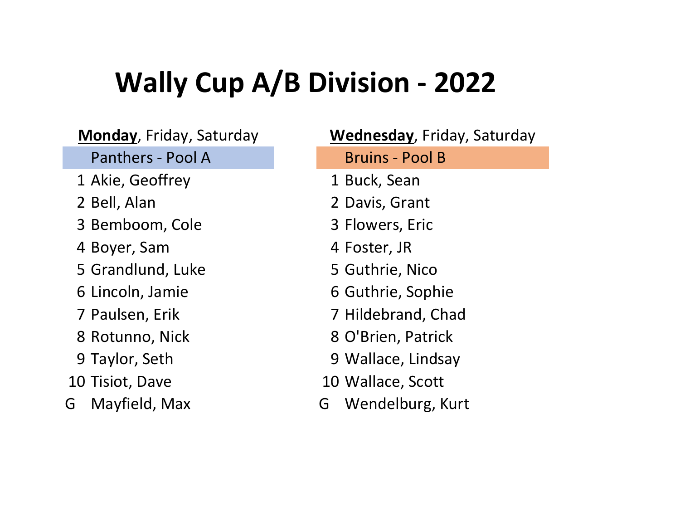Panthers - Pool A Bruins - Pool B

- 1 Akie, Geoffrey 1 Buck, Sean
- 
- 3 Bemboom, Cole 3 Flowers, Eric
- 4 Boyer, Sam 4 Foster, JR
- 5 Grandlund, Luke 5 Guthrie, Nico
- 
- 
- 
- 
- 
- G Mayfield, Max G Wendelburg, Kurt

2 Bell, Alan 2 Davis, Grant 6 Lincoln, Jamie 6 Guthrie, Sophie 7 Paulsen, Erik 7 Hildebrand, Chad 8 Rotunno, Nick 8 O'Brien, Patrick 9 Taylor, Seth 9 Wallace, Lindsay 10 Tisiot, Dave 10 Wallace, Scott **Monday**, Friday, Saturday **Wednesday**, Friday, Saturday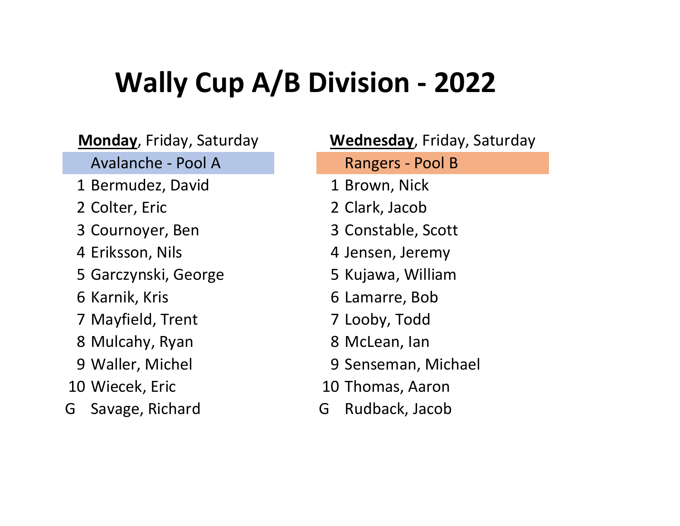- 1 Bermudez, David 1 Brown, Nick
- 
- 
- 
- 5 Garczynski, George 5 Kujawa, William
- 
- 7 Mayfield, Trent 7 Looby, Todd
- 8 Mulcahy, Ryan 8 McLean, Ian
- 
- 
- G Savage, Richard G Rudback, Jacob

Avalanche - Pool A Rangers - Pool B 2 Colter, Eric 2 Clark, Jacob 3 Cournoyer, Ben 3 Constable, Scott 4 Eriksson, Nils 1994 and 4 Jensen, Jeremy 6 Karnik, Kris 1986 16 Karnik, Kris 1986 16 Kamarre, Bob 9 Waller, Michel 9 Senseman, Michael 10 Wiecek, Eric 10 Thomas, Aaron **Monday**, Friday, Saturday **Wednesday**, Friday, Saturday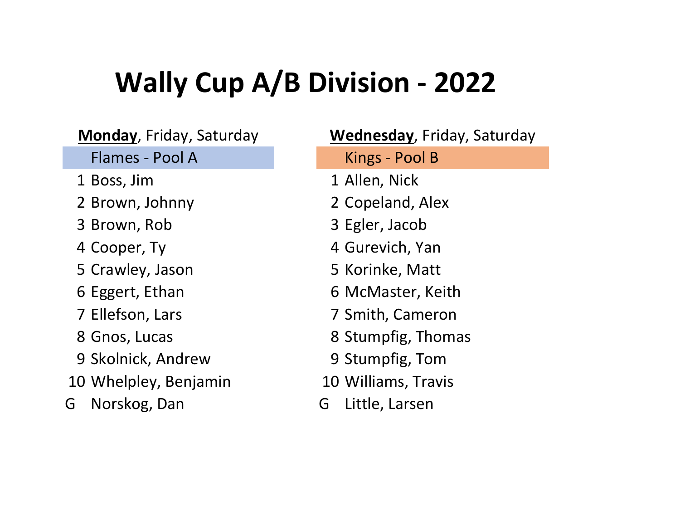- 
- 
- 
- 
- 5 Crawley, Jason 5 Korinke, Matt
- 
- 
- 
- 9 Skolnick, Andrew 9 Stumpfig, Tom
- 10 Whelpley, Benjamin 10 Williams, Travis
- G Norskog, Dan G Little, Larsen

Flames - Pool A Kings - Pool B 1 Boss, Jim 1 Allen, Nick 2 Brown, Johnny 2 Copeland, Alex 3 Brown, Rob 3 Egler, Jacob 4 Cooper, Ty **4 Gurevich, Yan** 6 Eggert, Ethan 6 McMaster, Keith 7 Ellefson, Lars 7 Smith, Cameron 8 Gnos, Lucas 8 Stumpfig, Thomas **Monday**, Friday, Saturday **Wednesday**, Friday, Saturday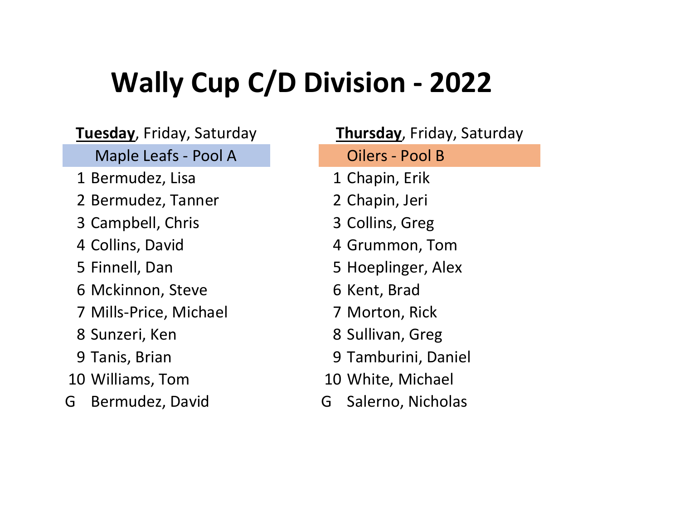**Tuesday**, Friday, Saturday **Thursday**, Friday, Saturday

Maple Leafs - Pool A Cilers - Pool B

- 1 Bermudez, Lisa 1 Chapin, Erik
- 2 Bermudez, Tanner 2 Chapin, Jeri
- 3 Campbell, Chris 3 Collins, Greg
- 
- 
- 6 Mckinnon, Steve 6 Kent, Brad
- 7 Mills-Price, Michael 7 Morton, Rick
- 
- 
- 10 Williams, Tom 10 White, Michael
- G Bermudez, David G Salerno, Nicholas

4 Collins, David 4 Grummon, Tom 5 Finnell, Dan 5 Hoeplinger, Alex 8 Sunzeri, Ken and B. Sullivan, Greg 9 Tanis, Brian 19 Tamburini, Daniel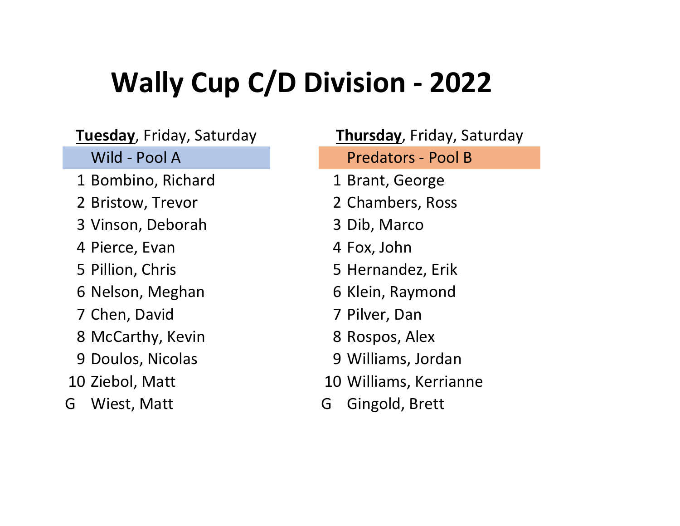- 1 Bombino, Richard 1 Brant, George
- 
- 3 Vinson, Deborah 3 Dib, Marco
- 4 Pierce, Evan 14 Fox, John
- 
- 6 Nelson, Meghan 6 Klein, Raymond
- 7 Chen, David 7 Pilver, Dan
- 8 McCarthy, Kevin 8 Rospos, Alex
- 
- 
- 

Wild - Pool A **Predators** - Pool B 2 Bristow, Trevor 2 Chambers, Ross 5 Pillion, Chris 6 1996 1997 15 Hernandez, Erik 9 Doulos, Nicolas 9 Williams, Jordan 10 Ziebol, Matt 10 Williams, Kerrianne G Wiest, Matt G Gingold, Brett **Tuesday**, Friday, Saturday **Thursday**, Friday, Saturday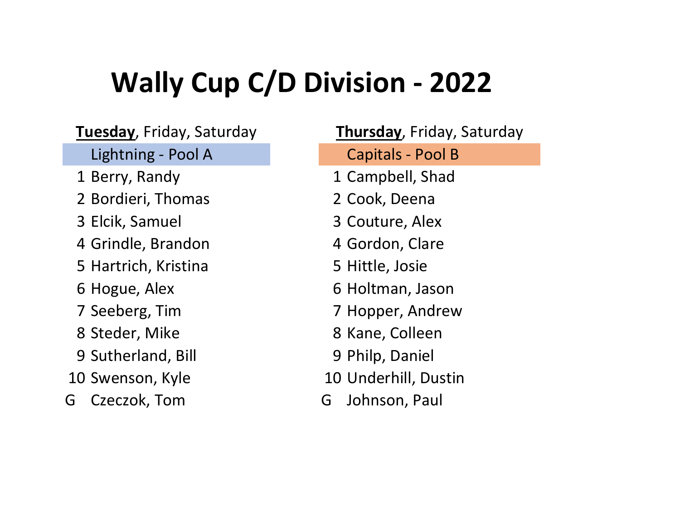**Tuesday**, Friday, Saturday **Thursday**, Friday, Saturday

- 
- 2 Bordieri, Thomas 2 Cook, Deena
- 
- 4 Grindle, Brandon 4 Gordon, Clare
- 5 Hartrich, Kristina 5 Hittle, Josie
- 
- 
- 
- 9 Sutherland, Bill 9 Philp, Daniel
- 
- G Czeczok, Tom G Johnson, Paul

Lightning - Pool A Capitals - Pool B 1 Berry, Randy 1 Campbell, Shad 3 Elcik, Samuel 3 Couture, Alex 6 Hogue, Alex 6 Holtman, Jason 7 Seeberg, Tim 7 Hopper, Andrew 8 Steder, Mike 8 Kane, Colleen 10 Swenson, Kyle 10 Underhill, Dustin